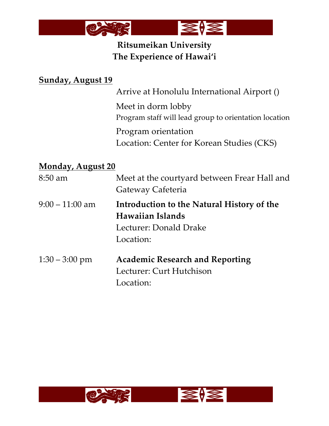

# **Ritsumeikan University The Experience of Hawai'i**

### **Sunday, August 19**

Arrive at Honolulu International Airport ()

Meet in dorm lobby Program staff will lead group to orientation location

Program orientation Location: Center for Korean Studies (CKS)

#### **Monday, August 20**

| $8:50$ am        | Meet at the courtyard between Frear Hall and<br>Gateway Cafeteria                                     |
|------------------|-------------------------------------------------------------------------------------------------------|
| $9:00-11:00$ am  | Introduction to the Natural History of the<br>Hawaiian Islands<br>Lecturer: Donald Drake<br>Location: |
| $1:30 - 3:00$ pm | <b>Academic Research and Reporting</b><br>Lecturer: Curt Hutchison<br>Location:                       |

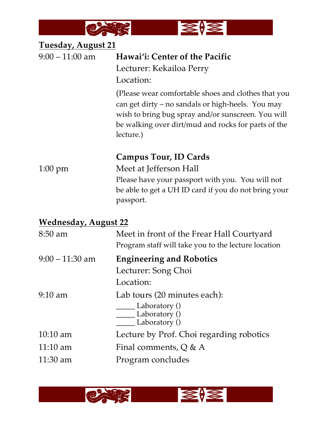

| <b>Tuesday, August 21</b>   |                                                                                                                                                                                                                                    |
|-----------------------------|------------------------------------------------------------------------------------------------------------------------------------------------------------------------------------------------------------------------------------|
| $9:00 - 11:00$ am           | Hawai'i: Center of the Pacific                                                                                                                                                                                                     |
|                             | Lecturer: Kekailoa Perry                                                                                                                                                                                                           |
|                             | Location:                                                                                                                                                                                                                          |
|                             | (Please wear comfortable shoes and clothes that you<br>can get dirty – no sandals or high-heels. You may<br>wish to bring bug spray and/or sunscreen. You will<br>be walking over dirt/mud and rocks for parts of the<br>lecture.) |
|                             | <b>Campus Tour, ID Cards</b>                                                                                                                                                                                                       |
| $1:00 \text{ pm}$           | Meet at Jefferson Hall                                                                                                                                                                                                             |
|                             | Please have your passport with you. You will not                                                                                                                                                                                   |
|                             | be able to get a UH ID card if you do not bring your<br>passport.                                                                                                                                                                  |
| <b>Wednesday, August 22</b> |                                                                                                                                                                                                                                    |
| 8:50 am                     | Meet in front of the Frear Hall Courtyard<br>Program staff will take you to the lecture location                                                                                                                                   |
| $9:00 - 11:30$ am           | <b>Engineering and Robotics</b>                                                                                                                                                                                                    |
|                             | Lecturer: Song Choi                                                                                                                                                                                                                |
|                             | Location:                                                                                                                                                                                                                          |

9:10 am Lab tours (20 minutes each):

\_\_\_\_\_ Laboratory () Laboratory ()

Laboratory ()

10:10 am Lecture by Prof. Choi regarding robotics

 $\overline{M}$ 

11:10 am Final comments, Q & A

11:30 am Program concludes

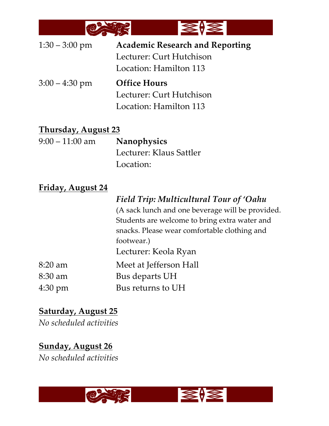

| $1:30 - 3:00$ pm | <b>Academic Research and Reporting</b> |
|------------------|----------------------------------------|
|                  | Lecturer: Curt Hutchison               |
|                  | Location: Hamilton 113                 |
|                  |                                        |
| $3:00 - 4:30$ pm | <b>Office Hours</b>                    |
|                  | Lecturer: Curt Hutchison               |
|                  | Location: Hamilton 113                 |

#### **Thursday, August 23**

| $9:00-11:00$ am | <b>Nanophysics</b>      |
|-----------------|-------------------------|
|                 | Lecturer: Klaus Sattler |
|                 | Location:               |

### **Friday, August 24**

|         | Field Trip: Multicultural Tour of 'Oahu          |
|---------|--------------------------------------------------|
|         | (A sack lunch and one beverage will be provided. |
|         | Students are welcome to bring extra water and    |
|         | snacks. Please wear comfortable clothing and     |
|         | footwear.)                                       |
|         | Lecturer: Keola Ryan                             |
| 8:20 am | Meet at Jefferson Hall                           |
| 8:30 am | Bus departs UH                                   |
| 4:30 pm | Bus returns to UH                                |

## **Saturday, August 25**

*No scheduled activities*

**Sunday, August 26** *No scheduled activities*

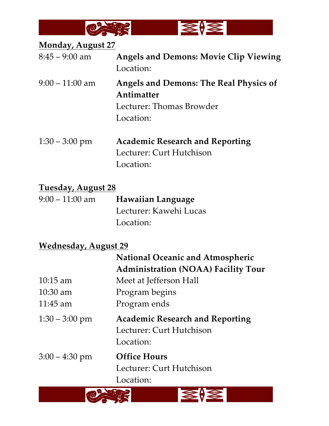

**Monday, August 27**

| $8:45 - 9:00$ am  | <b>Angels and Demons: Movie Clip Viewing</b><br>Location:                                            |
|-------------------|------------------------------------------------------------------------------------------------------|
| $9:00 - 11:00$ am | <b>Angels and Demons: The Real Physics of</b><br>Antimatter<br>Lecturer: Thomas Browder<br>Location: |
| $1:30 - 3:00$ pm  | <b>Academic Research and Reporting</b><br>Lecturer: Curt Hutchison<br>Location:                      |

**Tuesday, August 28**

| $9:00-11:00$ am | <b>Hawaiian Language</b> |
|-----------------|--------------------------|
|                 | Lecturer: Kawehi Lucas   |
|                 | Location:                |

## **Wednesday, August 29**

|                  | <b>National Oceanic and Atmospheric</b>                                         |
|------------------|---------------------------------------------------------------------------------|
|                  | <b>Administration (NOAA) Facility Tour</b>                                      |
| $10:15$ am       | Meet at Jefferson Hall                                                          |
| $10:30$ am       | Program begins                                                                  |
| $11:45$ am       | Program ends                                                                    |
| $1:30 - 3:00$ pm | <b>Academic Research and Reporting</b><br>Lecturer: Curt Hutchison<br>Location: |
| $3:00 - 4:30$ pm | <b>Office Hours</b><br>Lecturer: Curt Hutchison<br>Location:                    |
|                  |                                                                                 |
|                  |                                                                                 |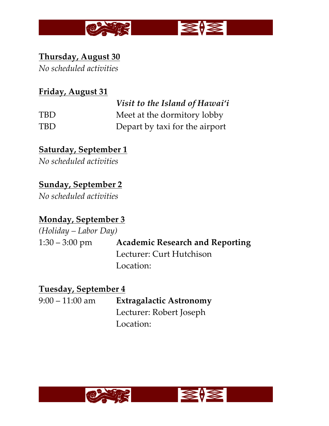

# **Thursday, August 30**

*No scheduled activities*

## **Friday, August 31**

|            | Visit to the Island of Hawai'i |
|------------|--------------------------------|
| <b>TBD</b> | Meet at the dormitory lobby    |
| TBD.       | Depart by taxi for the airport |

# **Saturday, September 1**

*No scheduled activities*

# **Sunday, September 2**

*No scheduled activities*

# **Monday, September 3**

*(Holiday – Labor Day)* 1:30 – 3:00 pm **Academic Research and Reporting** Lecturer: Curt Hutchison Location:

### **Tuesday, September 4**

| $9:00-11:00$ am | <b>Extragalactic Astronomy</b> |
|-----------------|--------------------------------|
|                 | Lecturer: Robert Joseph        |
|                 | Location:                      |



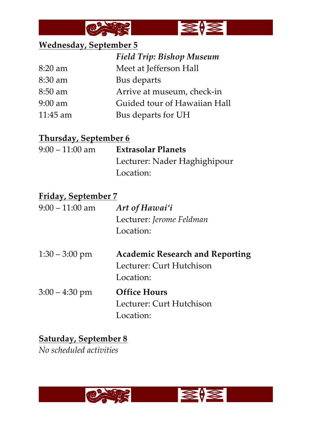



# **Wednesday, September 5**

|            | <b>Field Trip: Bishop Museum</b> |
|------------|----------------------------------|
| $8:20$ am  | Meet at Jefferson Hall           |
| $8:30$ am  | Bus departs                      |
| $8:50$ am  | Arrive at museum, check-in       |
| $9:00$ am  | Guided tour of Hawaiian Hall     |
| $11:45$ am | Bus departs for UH               |
|            |                                  |

### **Thursday, September 6**

| $9:00-11:00$ am | <b>Extrasolar Planets</b>    |
|-----------------|------------------------------|
|                 | Lecturer: Nader Haghighipour |
|                 | Location:                    |

### **Friday, September 7**

| $9:00 - 11:00$ am | Art of Hawai'i                         |
|-------------------|----------------------------------------|
|                   | Lecturer: Jerome Feldman               |
|                   | Location:                              |
| $1:30 - 3:00$ pm  | <b>Academic Research and Reporting</b> |
|                   | Lecturer: Curt Hutchison               |
|                   | Location:                              |
| $3:00 - 4:30$ pm  | <b>Office Hours</b>                    |
|                   | Lecturer: Curt Hutchison               |
|                   | Location:                              |

## **Saturday, September 8**

*No scheduled activities*

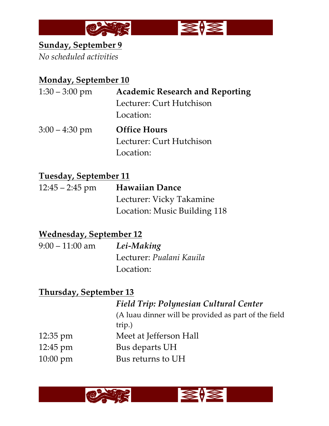

## **Sunday, September 9**

*No scheduled activities*

### **Monday, September 10**

| $1:30 - 3:00$ pm | <b>Academic Research and Reporting</b> |
|------------------|----------------------------------------|
|                  | Lecturer: Curt Hutchison               |
|                  | Location:                              |
| $3:00 - 4:30$ pm | <b>Office Hours</b>                    |
|                  | Lecturer: Curt Hutchison               |
|                  | Location:                              |
|                  |                                        |

## **Tuesday, September 11**

| $12:45 - 2:45$ pm | <b>Hawaiian Dance</b>        |
|-------------------|------------------------------|
|                   | Lecturer: Vicky Takamine     |
|                   | Location: Music Building 118 |

## **Wednesday, September 12**

| $9:00-11:00$ am | Lei-Making               |
|-----------------|--------------------------|
|                 | Lecturer: Pualani Kauila |
|                 | Location:                |

# **Thursday, September 13**

|                    | <b>Field Trip: Polynesian Cultural Center</b>        |
|--------------------|------------------------------------------------------|
|                    | (A luau dinner will be provided as part of the field |
|                    | trip.)                                               |
| $12:35 \text{ pm}$ | Meet at Jefferson Hall                               |
| $12:45 \text{ pm}$ | Bus departs UH                                       |
| $10:00 \text{ pm}$ | Bus returns to UH                                    |